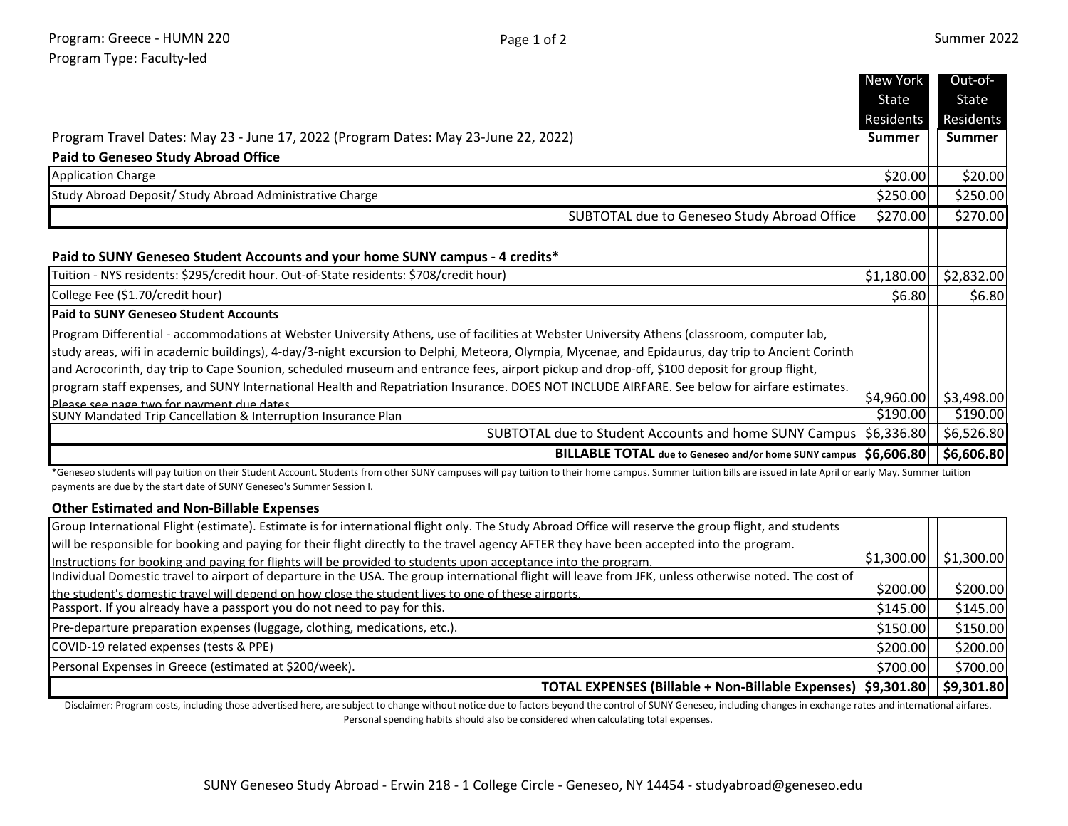|                                                                                                                                                    | New York     | Out-of-       |
|----------------------------------------------------------------------------------------------------------------------------------------------------|--------------|---------------|
|                                                                                                                                                    | <b>State</b> | State         |
|                                                                                                                                                    | Residents    | Residents     |
| Program Travel Dates: May 23 - June 17, 2022 (Program Dates: May 23-June 22, 2022)                                                                 | Summer       | <b>Summer</b> |
| <b>Paid to Geneseo Study Abroad Office</b>                                                                                                         |              |               |
| <b>Application Charge</b>                                                                                                                          | \$20.00      | \$20.00       |
| Study Abroad Deposit/ Study Abroad Administrative Charge                                                                                           | \$250.00     | \$250.00      |
| SUBTOTAL due to Geneseo Study Abroad Office                                                                                                        | \$270.00     | \$270.00      |
|                                                                                                                                                    |              |               |
| Paid to SUNY Geneseo Student Accounts and your home SUNY campus - 4 credits*                                                                       |              |               |
| Tuition - NYS residents: \$295/credit hour. Out-of-State residents: \$708/credit hour)                                                             | \$1,180.00   | \$2,832.00    |
| College Fee (\$1.70/credit hour)                                                                                                                   | \$6.80       | \$6.80        |
| <b>Paid to SUNY Geneseo Student Accounts</b>                                                                                                       |              |               |
| Program Differential - accommodations at Webster University Athens, use of facilities at Webster University Athens (classroom, computer lab,       |              |               |
| study areas, wifi in academic buildings), 4-day/3-night excursion to Delphi, Meteora, Olympia, Mycenae, and Epidaurus, day trip to Ancient Corinth |              |               |
| and Acrocorinth, day trip to Cape Sounion, scheduled museum and entrance fees, airport pickup and drop-off, \$100 deposit for group flight,        |              |               |
| program staff expenses, and SUNY International Health and Repatriation Insurance. DOES NOT INCLUDE AIRFARE. See below for airfare estimates.       |              |               |
| Please see nage two for nayment due dates                                                                                                          | \$4,960.00   | \$3,498.00    |
| <b>SUNY Mandated Trip Cancellation &amp; Interruption Insurance Plan</b>                                                                           | \$190.00     | \$190.00      |
| SUBTOTAL due to Student Accounts and home SUNY Campus   \$6,336.80                                                                                 |              | \$6,526.80    |
| BILLABLE TOTAL due to Geneseo and/or home SUNY campus   \$6,606.80                                                                                 |              | \$6,606.80    |

\*Geneseo students will pay tuition on their Student Account. Students from other SUNY campuses will pay tuition to their home campus. Summer tuition bills are issued in late April or early May. Summer tuition payments are due by the start date of SUNY Geneseo's Summer Session I.

## **Other Estimated and Non-Billable Expenses**

| Group International Flight (estimate). Estimate is for international flight only. The Study Abroad Office will reserve the group flight, and students   |           |                                       |
|---------------------------------------------------------------------------------------------------------------------------------------------------------|-----------|---------------------------------------|
| will be responsible for booking and paying for their flight directly to the travel agency AFTER they have been accepted into the program.               |           |                                       |
| Instructions for booking and paying for flights will be provided to students upon acceptance into the program.                                          |           | $\vert$ \$1,300.00 $\vert$ \$1,300.00 |
| [Individual Domestic travel to airport of departure in the USA. The group international flight will leave from JFK, unless otherwise noted. The cost of |           |                                       |
| the student's domestic travel will depend on how close the student lives to one of these airports.                                                      | \$200.00] | \$200.00                              |
| Passport. If you already have a passport you do not need to pay for this.                                                                               | \$145.00  | \$145.00                              |
| Pre-departure preparation expenses (luggage, clothing, medications, etc.).                                                                              | \$150.00  | \$150.00                              |
| COVID-19 related expenses (tests & PPE)                                                                                                                 | \$200.00  | \$200.00]                             |
| Personal Expenses in Greece (estimated at \$200/week).                                                                                                  | \$700.00  | \$700.00                              |
| TOTAL EXPENSES (Billable + Non-Billable Expenses)   \$9,301.80   \$9,301.80                                                                             |           |                                       |

Disclaimer: Program costs, including those advertised here, are subject to change without notice due to factors beyond the control of SUNY Geneseo, including changes in exchange rates and international airfares. Personal spending habits should also be considered when calculating total expenses.